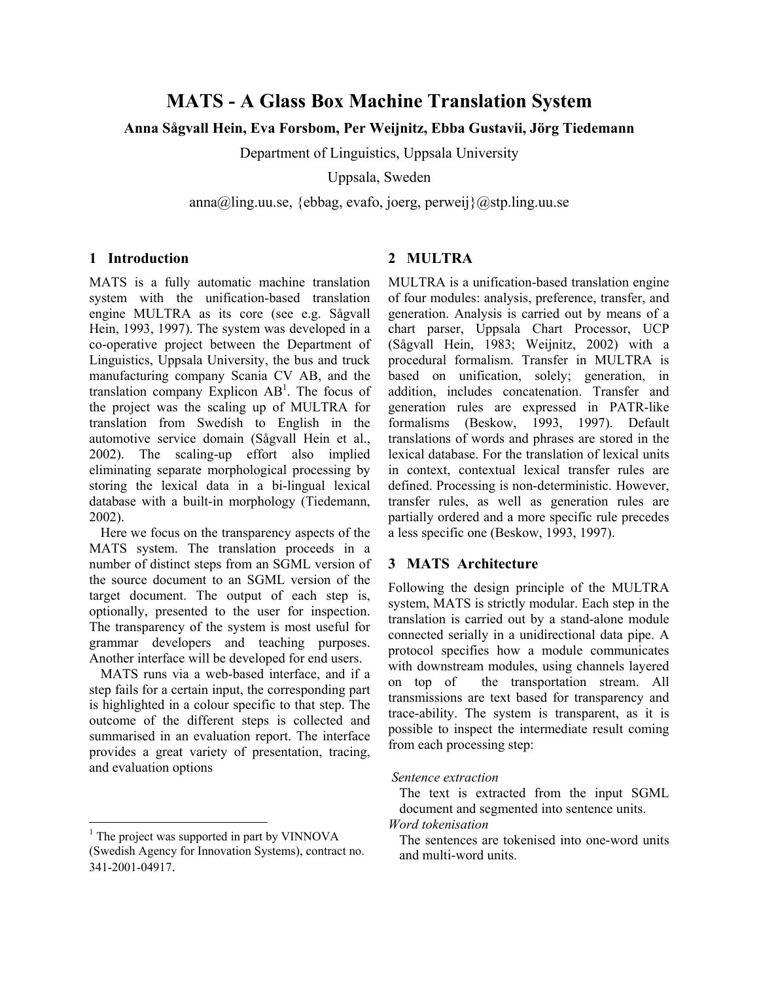# **MATS - A Glass Box Machine Translation System**

# **Anna Sågvall Hein, Eva Forsbom, Per Weijnitz, Ebba Gustavii, Jörg Tiedemann**

Department of Linguistics, Uppsala University

Uppsala, Sweden

 $\text{anna}(a)$ ling.uu.se, {ebbag, evafo, joerg, perweij} $(a)$ stp.ling.uu.se

## **1 Introduction**

MATS is a fully automatic machine translation system with the unification-based translation engine MULTRA as its core (see e.g. Sågvall Hein, 1993, 1997). The system was developed in a co-operative project between the Department of Linguistics, Uppsala University, the bus and truck manufacturing company Scania CV AB, and the translation company Explicon  $AB<sup>1</sup>$ . The focus of the project was the scaling up of MULTRA for translation from Swedish to English in the automotive service domain (Sågvall Hein et al., 2002). The scaling-up effort also implied eliminating separate morphological processing by storing the lexical data in a bi-lingual lexical database with a built-in morphology (Tiedemann, 2002).

Here we focus on the transparency aspects of the MATS system. The translation proceeds in a number of distinct steps from an SGML version of the source document to an SGML version of the target document. The output of each step is, optionally, presented to the user for inspection. The transparency of the system is most useful for grammar developers and teaching purposes. Another interface will be developed for end users.

MATS runs via a web-based interface, and if a step fails for a certain input, the corresponding part is highlighted in a colour specific to that step. The outcome of the different steps is collected and summarised in an evaluation report. The interface provides a great variety of presentation, tracing, and evaluation options

 $\overline{a}$ 

## **2 MULTRA**

MULTRA is a unification-based translation engine of four modules: analysis, preference, transfer, and generation. Analysis is carried out by means of a chart parser, Uppsala Chart Processor, UCP (Sågvall Hein, 1983; Weijnitz, 2002) with a procedural formalism. Transfer in MULTRA is based on unification, solely; generation, in addition, includes concatenation. Transfer and generation rules are expressed in PATR-like formalisms (Beskow, 1993, 1997). Default translations of words and phrases are stored in the lexical database. For the translation of lexical units in context, contextual lexical transfer rules are defined. Processing is non-deterministic. However, transfer rules, as well as generation rules are partially ordered and a more specific rule precedes a less specific one (Beskow, 1993, 1997).

# **3 MATS Architecture**

Following the design principle of the MULTRA system, MATS is strictly modular. Each step in the translation is carried out by a stand-alone module connected serially in a unidirectional data pipe. A protocol specifies how a module communicates with downstream modules, using channels layered on top of the transportation stream. All transmissions are text based for transparency and trace-ability. The system is transparent, as it is possible to inspect the intermediate result coming from each processing step:

The text is extracted from the input SGML document and segmented into sentence units. *Word tokenisation*

<span id="page-0-0"></span><sup>&</sup>lt;sup>1</sup> The project was supported in part by VINNOVA (Swedish Agency for Innovation Systems), contract no.

<sup>341-2001-04917.</sup>

*Sentence extraction*

The sentences are tokenised into one-word units and multi-word units.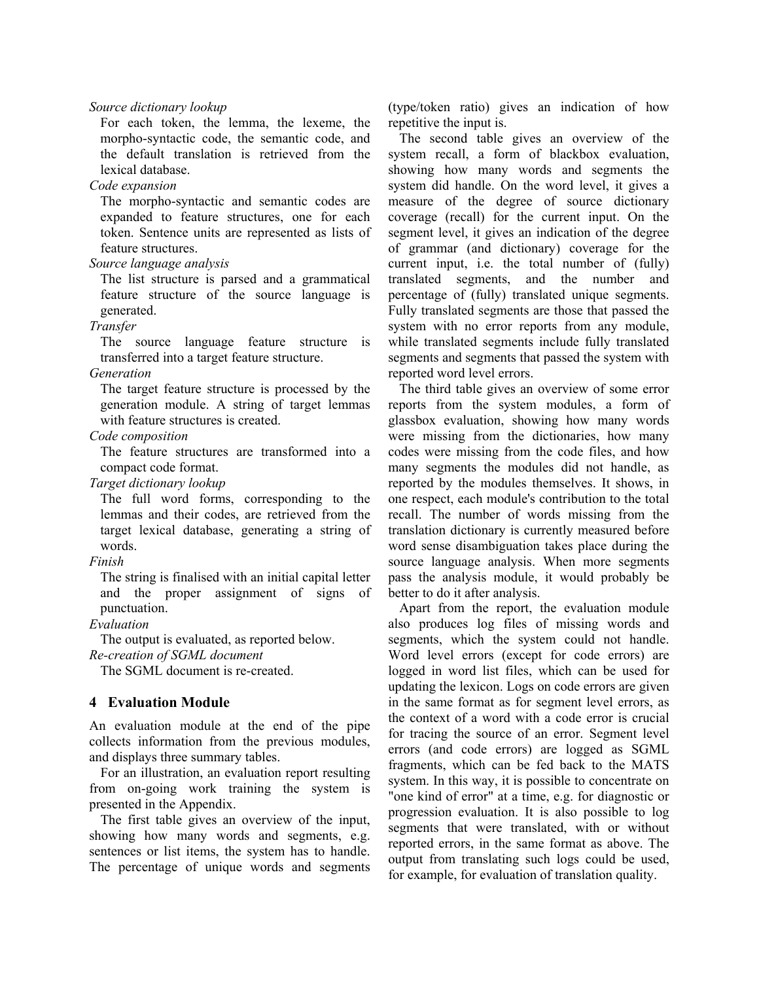#### *Source dictionary lookup*

For each token, the lemma, the lexeme, the morpho-syntactic code, the semantic code, and the default translation is retrieved from the lexical database.

#### *Code expansion*

The morpho-syntactic and semantic codes are expanded to feature structures, one for each token. Sentence units are represented as lists of feature structures.

#### *Source language analysis*

The list structure is parsed and a grammatical feature structure of the source language is generated.

#### *Transfer*

The source language feature structure is transferred into a target feature structure.

#### *Generation*

The target feature structure is processed by the generation module. A string of target lemmas with feature structures is created.

## *Code composition*

The feature structures are transformed into a compact code format.

*Target dictionary lookup*

The full word forms, corresponding to the lemmas and their codes, are retrieved from the target lexical database, generating a string of words.

### *Finish*

The string is finalised with an initial capital letter and the proper assignment of signs of punctuation.

### *Evaluation*

The output is evaluated, as reported below.

## *Re-creation of SGML document*

The SGML document is re-created.

## **4 Evaluation Module**

An evaluation module at the end of the pipe collects information from the previous modules, and displays three summary tables.

For an illustration, an evaluation report resulting from on-going work training the system is presented in the Appendix.

The first table gives an overview of the input, showing how many words and segments, e.g. sentences or list items, the system has to handle. The percentage of unique words and segments (type/token ratio) gives an indication of how repetitive the input is.

The second table gives an overview of the system recall, a form of blackbox evaluation, showing how many words and segments the system did handle. On the word level, it gives a measure of the degree of source dictionary coverage (recall) for the current input. On the segment level, it gives an indication of the degree of grammar (and dictionary) coverage for the current input, i.e. the total number of (fully) translated segments, and the number and percentage of (fully) translated unique segments. Fully translated segments are those that passed the system with no error reports from any module, while translated segments include fully translated segments and segments that passed the system with reported word level errors.

The third table gives an overview of some error reports from the system modules, a form of glassbox evaluation, showing how many words were missing from the dictionaries, how many codes were missing from the code files, and how many segments the modules did not handle, as reported by the modules themselves. It shows, in one respect, each module's contribution to the total recall. The number of words missing from the translation dictionary is currently measured before word sense disambiguation takes place during the source language analysis. When more segments pass the analysis module, it would probably be better to do it after analysis.

Apart from the report, the evaluation module also produces log files of missing words and segments, which the system could not handle. Word level errors (except for code errors) are logged in word list files, which can be used for updating the lexicon. Logs on code errors are given in the same format as for segment level errors, as the context of a word with a code error is crucial for tracing the source of an error. Segment level errors (and code errors) are logged as SGML fragments, which can be fed back to the MATS system. In this way, it is possible to concentrate on "one kind of error" at a time, e.g. for diagnostic or progression evaluation. It is also possible to log segments that were translated, with or without reported errors, in the same format as above. The output from translating such logs could be used, for example, for evaluation of translation quality.